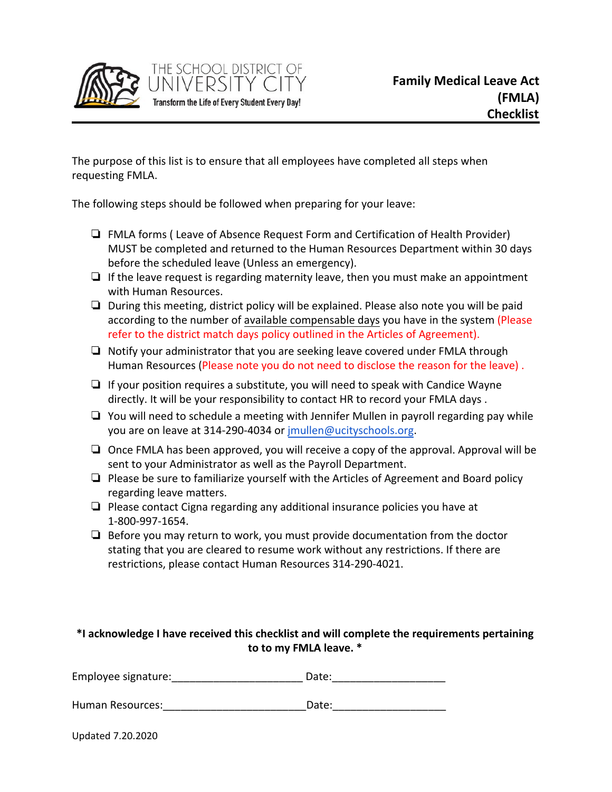

The purpose of this list is to ensure that all employees have completed all steps when requesting FMLA.

The following steps should be followed when preparing for your leave:

THE SCHOOL DISTRICT OF

Transform the Life of Every Student Every Day!

- ❏ FMLA forms ( Leave of Absence Request Form and Certification of Health Provider) MUST be completed and returned to the Human Resources Department within 30 days before the scheduled leave (Unless an emergency).
- ❏ If the leave request is regarding maternity leave, then you must make an appointment with Human Resources.
- ❏ During this meeting, district policy will be explained. Please also note you will be paid according to the number of available compensable days you have in the system (Please refer to the district match days policy outlined in the Articles of Agreement).
- ❏ Notify your administrator that you are seeking leave covered under FMLA through Human Resources (Please note you do not need to disclose the reason for the leave) .
- ❏ If your position requires a substitute, you will need to speak with Candice Wayne directly. It will be your responsibility to contact HR to record your FMLA days .
- ❏ You will need to schedule a meeting with Jennifer Mullen in payroll regarding pay while you are on leave at 314-290-4034 or [jmullen@ucityschools.org](mailto:jmullen@ucityschools.org).
- ❏ Once FMLA has been approved, you will receive a copy of the approval. Approval will be sent to your Administrator as well as the Payroll Department.
- ❏ Please be sure to familiarize yourself with the Articles of Agreement and Board policy regarding leave matters.
- ❏ Please contact Cigna regarding any additional insurance policies you have at 1-800-997-1654.
- ❏ Before you may return to work, you must provide documentation from the doctor stating that you are cleared to resume work without any restrictions. If there are restrictions, please contact Human Resources 314-290-4021.

## **\*I acknowledge I have received this checklist and will complete the requirements pertaining to to my FMLA leave. \***

Human Resources: etc. and the Date: